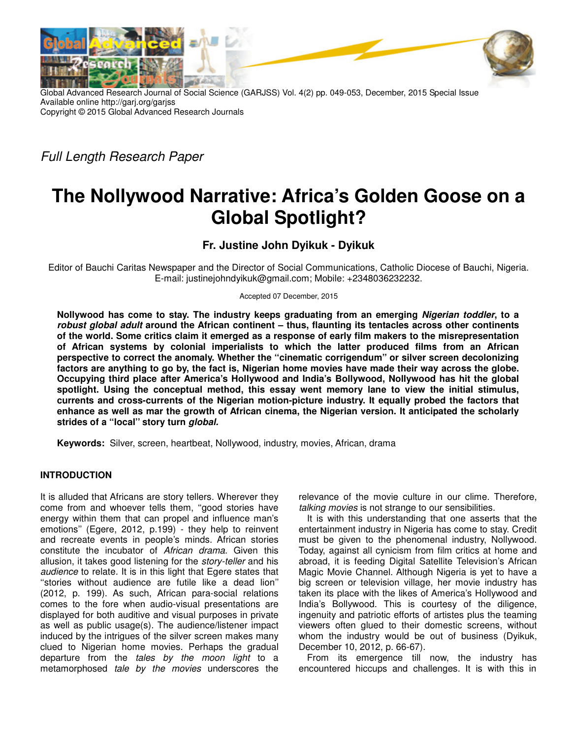



Global Advanced Research Journal of Social Science (GARJSS) Vol. 4(2) pp. 049-053, December, 2015 Special Issue Available online http://garj.org/garjss Copyright © 2015 Global Advanced Research Journals

Full Length Research Paper

# **The Nollywood Narrative: Africa's Golden Goose on a Global Spotlight?**

**Fr. Justine John Dyikuk - Dyikuk** 

Editor of Bauchi Caritas Newspaper and the Director of Social Communications, Catholic Diocese of Bauchi, Nigeria. E-mail: justinejohndyikuk@gmail.com; Mobile: +2348036232232.

Accepted 07 December, 2015

**Nollywood has come to stay. The industry keeps graduating from an emerging Nigerian toddler, to a robust global adult around the African continent – thus, flaunting its tentacles across other continents of the world. Some critics claim it emerged as a response of early film makers to the misrepresentation of African systems by colonial imperialists to which the latter produced films from an African perspective to correct the anomaly. Whether the ''cinematic corrigendum'' or silver screen decolonizing factors are anything to go by, the fact is, Nigerian home movies have made their way across the globe. Occupying third place after America's Hollywood and India's Bollywood, Nollywood has hit the global spotlight. Using the conceptual method, this essay went memory lane to view the initial stimulus, currents and cross-currents of the Nigerian motion-picture industry. It equally probed the factors that enhance as well as mar the growth of African cinema, the Nigerian version. It anticipated the scholarly strides of a ''local'' story turn global.**

**Keywords:** Silver, screen, heartbeat, Nollywood, industry, movies, African, drama

## **INTRODUCTION**

It is alluded that Africans are story tellers. Wherever they come from and whoever tells them, ''good stories have energy within them that can propel and influence man's emotions'' (Egere, 2012, p.199) - they help to reinvent and recreate events in people's minds. African stories constitute the incubator of African drama. Given this allusion, it takes good listening for the story-teller and his audience to relate. It is in this light that Egere states that ''stories without audience are futile like a dead lion'' (2012, p. 199). As such, African para-social relations comes to the fore when audio-visual presentations are displayed for both auditive and visual purposes in private as well as public usage(s). The audience/listener impact induced by the intrigues of the silver screen makes many clued to Nigerian home movies. Perhaps the gradual departure from the tales by the moon light to a metamorphosed tale by the movies underscores the relevance of the movie culture in our clime. Therefore, talking movies is not strange to our sensibilities.

It is with this understanding that one asserts that the entertainment industry in Nigeria has come to stay. Credit must be given to the phenomenal industry, Nollywood. Today, against all cynicism from film critics at home and abroad, it is feeding Digital Satellite Television's African Magic Movie Channel. Although Nigeria is yet to have a big screen or television village, her movie industry has taken its place with the likes of America's Hollywood and India's Bollywood. This is courtesy of the diligence, ingenuity and patriotic efforts of artistes plus the teaming viewers often glued to their domestic screens, without whom the industry would be out of business (Dyikuk, December 10, 2012, p. 66-67).

From its emergence till now, the industry has encountered hiccups and challenges. It is with this in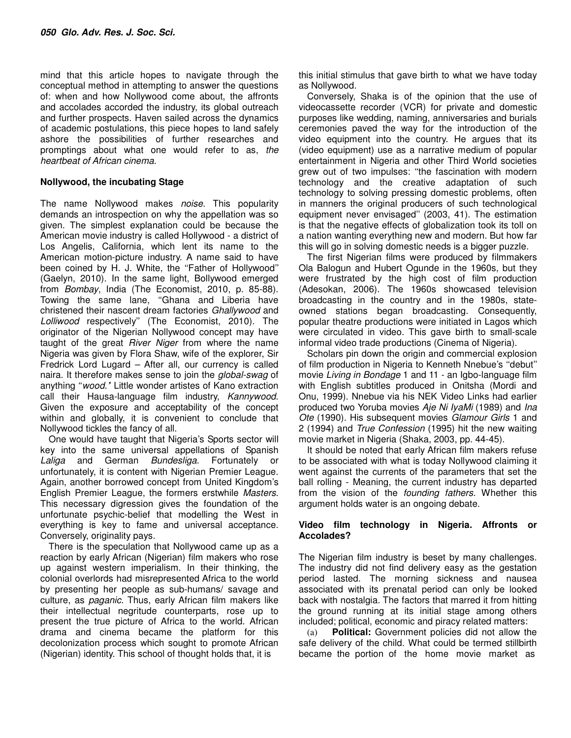mind that this article hopes to navigate through the conceptual method in attempting to answer the questions of: when and how Nollywood come about, the affronts and accolades accorded the industry, its global outreach and further prospects. Haven sailed across the dynamics of academic postulations, this piece hopes to land safely ashore the possibilities of further researches and promptings about what one would refer to as, the heartbeat of African cinema.

#### **Nollywood, the incubating Stage**

The name Nollywood makes noise. This popularity demands an introspection on why the appellation was so given. The simplest explanation could be because the American movie industry is called Hollywood - a district of Los Angelis, California, which lent its name to the American motion-picture industry. A name said to have been coined by H. J. White, the ''Father of Hollywood'' (Gaelyn, 2010). In the same light, Bollywood emerged from Bombay, India (The Economist, 2010, p. 85-88). Towing the same lane, ''Ghana and Liberia have christened their nascent dream factories Ghallywood and Lolliwood respectively'' (The Economist, 2010). The originator of the Nigerian Nollywood concept may have taught of the great River Niger from where the name Nigeria was given by Flora Shaw, wife of the explorer, Sir Fredrick Lord Lugard – After all, our currency is called naira. It therefore makes sense to join the *global-swag* of anything "wood." Little wonder artistes of Kano extraction call their Hausa-language film industry, Kannywood. Given the exposure and acceptability of the concept within and globally, it is convenient to conclude that Nollywood tickles the fancy of all.

One would have taught that Nigeria's Sports sector will key into the same universal appellations of Spanish Laliga and German Bundesliga. Fortunately or unfortunately, it is content with Nigerian Premier League. Again, another borrowed concept from United Kingdom's English Premier League, the formers erstwhile Masters. This necessary digression gives the foundation of the unfortunate psychic-belief that modelling the West in everything is key to fame and universal acceptance. Conversely, originality pays.

There is the speculation that Nollywood came up as a reaction by early African (Nigerian) film makers who rose up against western imperialism. In their thinking, the colonial overlords had misrepresented Africa to the world by presenting her people as sub-humans/ savage and culture, as *paganic*. Thus, early African film makers like their intellectual negritude counterparts, rose up to present the true picture of Africa to the world. African drama and cinema became the platform for this decolonization process which sought to promote African (Nigerian) identity. This school of thought holds that, it is

this initial stimulus that gave birth to what we have today as Nollywood.

Conversely, Shaka is of the opinion that the use of videocassette recorder (VCR) for private and domestic purposes like wedding, naming, anniversaries and burials ceremonies paved the way for the introduction of the video equipment into the country. He argues that its (video equipment) use as a narrative medium of popular entertainment in Nigeria and other Third World societies grew out of two impulses: ''the fascination with modern technology and the creative adaptation of such technology to solving pressing domestic problems, often in manners the original producers of such technological equipment never envisaged'' (2003, 41). The estimation is that the negative effects of globalization took its toll on a nation wanting everything new and modern. But how far this will go in solving domestic needs is a bigger puzzle.

The first Nigerian films were produced by filmmakers Ola Balogun and Hubert Ogunde in the 1960s, but they were frustrated by the high cost of film production (Adesokan, 2006). The 1960s showcased television broadcasting in the country and in the 1980s, stateowned stations began broadcasting. Consequently, popular theatre productions were initiated in Lagos which were circulated in video. This gave birth to small-scale informal video trade productions (Cinema of Nigeria).

Scholars pin down the origin and commercial explosion of film production in Nigeria to Kenneth Nnebue's ''debut'' movie Living in Bondage 1 and 11 - an Igbo-language film with English subtitles produced in Onitsha (Mordi and Onu, 1999). Nnebue via his NEK Video Links had earlier produced two Yoruba movies Aje Ni IyaMi (1989) and Ina Ote (1990). His subsequent movies Glamour Girls 1 and 2 (1994) and True Confession (1995) hit the new waiting movie market in Nigeria (Shaka, 2003, pp. 44-45).

It should be noted that early African film makers refuse to be associated with what is today Nollywood claiming it went against the currents of the parameters that set the ball rolling - Meaning, the current industry has departed from the vision of the *founding fathers*. Whether this argument holds water is an ongoing debate.

#### **Video film technology in Nigeria. Affronts or Accolades?**

The Nigerian film industry is beset by many challenges. The industry did not find delivery easy as the gestation period lasted. The morning sickness and nausea associated with its prenatal period can only be looked back with nostalgia. The factors that marred it from hitting the ground running at its initial stage among others included; political, economic and piracy related matters:

(a) **Political:** Government policies did not allow the safe delivery of the child. What could be termed stillbirth became the portion of the home movie market as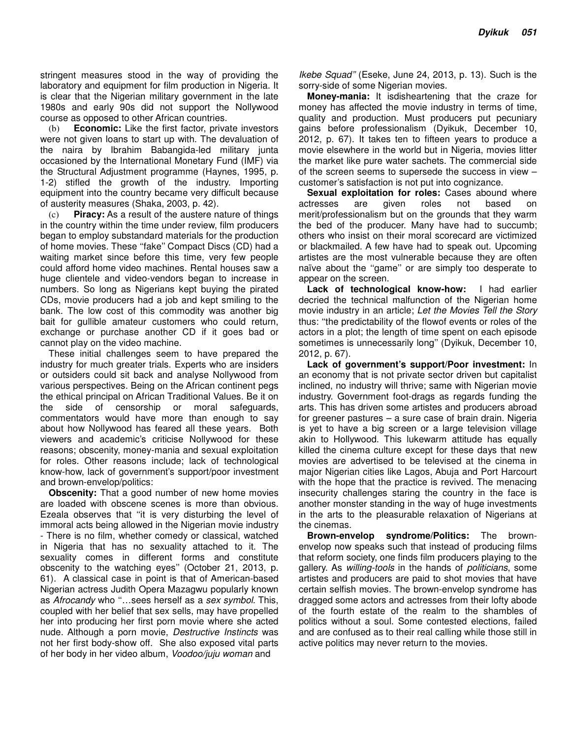stringent measures stood in the way of providing the laboratory and equipment for film production in Nigeria. It is clear that the Nigerian military government in the late 1980s and early 90s did not support the Nollywood course as opposed to other African countries.

(b) **Economic:** Like the first factor, private investors were not given loans to start up with. The devaluation of the naira by Ibrahim Babangida-led military junta occasioned by the International Monetary Fund (IMF) via the Structural Adjustment programme (Haynes, 1995, p. 1-2) stifled the growth of the industry. Importing equipment into the country became very difficult because of austerity measures (Shaka, 2003, p. 42).

(c) **Piracy:** As a result of the austere nature of things in the country within the time under review, film producers began to employ substandard materials for the production of home movies. These "fake" Compact Discs (CD) had a waiting market since before this time, very few people could afford home video machines. Rental houses saw a huge clientele and video-vendors began to increase in numbers. So long as Nigerians kept buying the pirated CDs, movie producers had a job and kept smiling to the bank. The low cost of this commodity was another big bait for gullible amateur customers who could return, exchange or purchase another CD if it goes bad or cannot play on the video machine.

These initial challenges seem to have prepared the industry for much greater trials. Experts who are insiders or outsiders could sit back and analyse Nollywood from various perspectives. Being on the African continent pegs the ethical principal on African Traditional Values. Be it on the side of censorship or moral safeguards, commentators would have more than enough to say about how Nollywood has feared all these years. Both viewers and academic's criticise Nollywood for these reasons; obscenity, money-mania and sexual exploitation for roles. Other reasons include; lack of technological know-how, lack of government's support/poor investment and brown-envelop/politics:

**Obscenity:** That a good number of new home movies are loaded with obscene scenes is more than obvious. Ezeala observes that ''it is very disturbing the level of immoral acts being allowed in the Nigerian movie industry - There is no film, whether comedy or classical, watched in Nigeria that has no sexuality attached to it. The sexuality comes in different forms and constitute obscenity to the watching eyes'' (October 21, 2013, p. 61). A classical case in point is that of American-based Nigerian actress Judith Opera Mazagwu popularly known as Afrocandy who "...sees herself as a sex symbol. This, coupled with her belief that sex sells, may have propelled her into producing her first porn movie where she acted nude. Although a porn movie, Destructive Instincts was not her first body-show off. She also exposed vital parts of her body in her video album, Voodoo/juju woman and

Ikebe Squad'' (Eseke, June 24, 2013, p. 13). Such is the sorry-side of some Nigerian movies.

**Money-mania:** It isdisheartening that the craze for money has affected the movie industry in terms of time, quality and production. Must producers put pecuniary gains before professionalism (Dyikuk, December 10, 2012, p. 67). It takes ten to fifteen years to produce a movie elsewhere in the world but in Nigeria, movies litter the market like pure water sachets. The commercial side of the screen seems to supersede the success in view – customer's satisfaction is not put into cognizance.

**Sexual exploitation for roles:** Cases abound where actresses are given roles not based on merit/professionalism but on the grounds that they warm the bed of the producer. Many have had to succumb; others who insist on their moral scorecard are victimized or blackmailed. A few have had to speak out. Upcoming artistes are the most vulnerable because they are often naïve about the ''game'' or are simply too desperate to appear on the screen.

**Lack of technological know-how:** I had earlier decried the technical malfunction of the Nigerian home movie industry in an article; Let the Movies Tell the Story thus: ''the predictability of the flowof events or roles of the actors in a plot; the length of time spent on each episode sometimes is unnecessarily long'' (Dyikuk, December 10, 2012, p. 67).

**Lack of government's support/Poor investment:** In an economy that is not private sector driven but capitalist inclined, no industry will thrive; same with Nigerian movie industry. Government foot-drags as regards funding the arts. This has driven some artistes and producers abroad for greener pastures – a sure case of brain drain. Nigeria is yet to have a big screen or a large television village akin to Hollywood. This lukewarm attitude has equally killed the cinema culture except for these days that new movies are advertised to be televised at the cinema in major Nigerian cities like Lagos, Abuja and Port Harcourt with the hope that the practice is revived. The menacing insecurity challenges staring the country in the face is another monster standing in the way of huge investments in the arts to the pleasurable relaxation of Nigerians at the cinemas.

**Brown-envelop syndrome/Politics:** The brownenvelop now speaks such that instead of producing films that reform society, one finds film producers playing to the gallery. As willing-tools in the hands of politicians, some artistes and producers are paid to shot movies that have certain selfish movies. The brown-envelop syndrome has dragged some actors and actresses from their lofty abode of the fourth estate of the realm to the shambles of politics without a soul. Some contested elections, failed and are confused as to their real calling while those still in active politics may never return to the movies.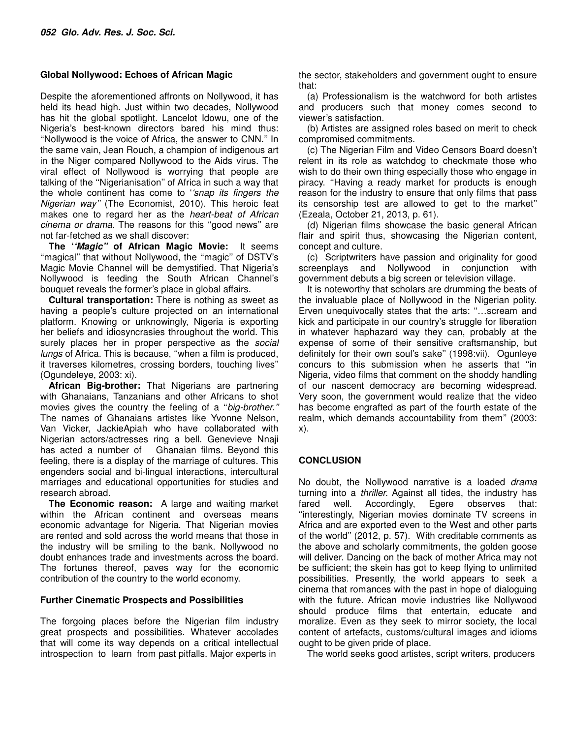#### **Global Nollywood: Echoes of African Magic**

Despite the aforementioned affronts on Nollywood, it has held its head high. Just within two decades, Nollywood has hit the global spotlight. Lancelot Idowu, one of the Nigeria's best-known directors bared his mind thus: ''Nollywood is the voice of Africa, the answer to CNN.'' In the same vain, Jean Rouch, a champion of indigenous art in the Niger compared Nollywood to the Aids virus. The viral effect of Nollywood is worrying that people are talking of the ''Nigerianisation'' of Africa in such a way that the whole continent has come to ''snap its fingers the Nigerian way'' (The Economist, 2010). This heroic feat makes one to regard her as the heart-beat of African cinema or drama. The reasons for this ''good news'' are not far-fetched as we shall discover:

**The ''Magic'' of African Magic Movie:** It seems "magical" that without Nollywood, the "magic" of DSTV's Magic Movie Channel will be demystified. That Nigeria's Nollywood is feeding the South African Channel's bouquet reveals the former's place in global affairs.

**Cultural transportation:** There is nothing as sweet as having a people's culture projected on an international platform. Knowing or unknowingly, Nigeria is exporting her beliefs and idiosyncrasies throughout the world. This surely places her in proper perspective as the social lungs of Africa. This is because, ''when a film is produced, it traverses kilometres, crossing borders, touching lives'' (Ogundeleye, 2003: xi).

**African Big-brother:** That Nigerians are partnering with Ghanaians, Tanzanians and other Africans to shot movies gives the country the feeling of a "big-brother." The names of Ghanaians artistes like Yvonne Nelson, Van Vicker, JackieApiah who have collaborated with Nigerian actors/actresses ring a bell. Genevieve Nnaji has acted a number of Ghanaian films. Beyond this feeling, there is a display of the marriage of cultures. This engenders social and bi-lingual interactions, intercultural marriages and educational opportunities for studies and research abroad.

**The Economic reason:** A large and waiting market within the African continent and overseas means economic advantage for Nigeria. That Nigerian movies are rented and sold across the world means that those in the industry will be smiling to the bank. Nollywood no doubt enhances trade and investments across the board. The fortunes thereof, paves way for the economic contribution of the country to the world economy.

#### **Further Cinematic Prospects and Possibilities**

The forgoing places before the Nigerian film industry great prospects and possibilities. Whatever accolades that will come its way depends on a critical intellectual introspection to learn from past pitfalls. Major experts in

the sector, stakeholders and government ought to ensure that:

(a) Professionalism is the watchword for both artistes and producers such that money comes second to viewer's satisfaction.

(b) Artistes are assigned roles based on merit to check compromised commitments.

(c) The Nigerian Film and Video Censors Board doesn't relent in its role as watchdog to checkmate those who wish to do their own thing especially those who engage in piracy. ''Having a ready market for products is enough reason for the industry to ensure that only films that pass its censorship test are allowed to get to the market'' (Ezeala, October 21, 2013, p. 61).

(d) Nigerian films showcase the basic general African flair and spirit thus, showcasing the Nigerian content, concept and culture.

(c) Scriptwriters have passion and originality for good screenplays and Nollywood in conjunction with government debuts a big screen or television village.

It is noteworthy that scholars are drumming the beats of the invaluable place of Nollywood in the Nigerian polity. Erven unequivocally states that the arts: "...scream and kick and participate in our country's struggle for liberation in whatever haphazard way they can, probably at the expense of some of their sensitive craftsmanship, but definitely for their own soul's sake'' (1998:vii). Ogunleye concurs to this submission when he asserts that ''in Nigeria, video films that comment on the shoddy handling of our nascent democracy are becoming widespread. Very soon, the government would realize that the video has become engrafted as part of the fourth estate of the realm, which demands accountability from them'' (2003: x).

## **CONCLUSION**

No doubt, the Nollywood narrative is a loaded drama turning into a thriller. Against all tides, the industry has fared well. Accordingly, Egere observes that: ''interestingly, Nigerian movies dominate TV screens in Africa and are exported even to the West and other parts of the world'' (2012, p. 57). With creditable comments as the above and scholarly commitments, the golden goose will deliver. Dancing on the back of mother Africa may not be sufficient; the skein has got to keep flying to unlimited possibilities. Presently, the world appears to seek a cinema that romances with the past in hope of dialoguing with the future. African movie industries like Nollywood should produce films that entertain, educate and moralize. Even as they seek to mirror society, the local content of artefacts, customs/cultural images and idioms ought to be given pride of place.

The world seeks good artistes, script writers, producers